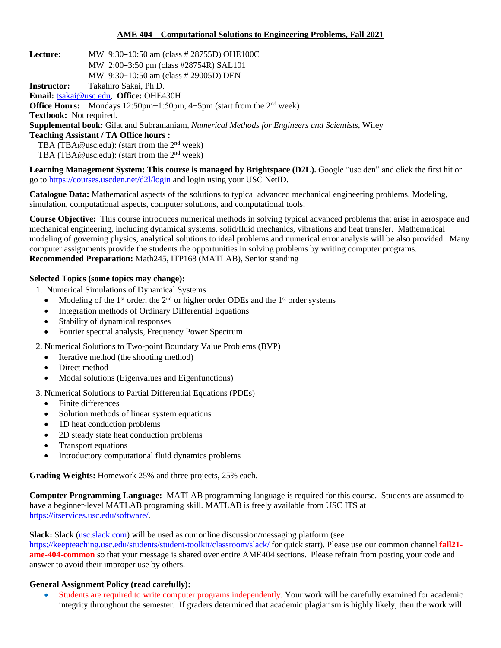## **AME 404 – Computational Solutions to Engineering Problems, Fall 2021**

**Lecture:** MW 9:30−10:50 am (class # 28755D) OHE100C MW 2:00−3:50 pm (class #28754R) SAL101 MW 9:30−10:50 am (class # 29005D) DEN **Instructor:** Takahiro Sakai, Ph.D. **Email:** [tsakai@usc.edu,](mailto:tsakai@usc.edu) **Office:** OHE430H **Office Hours:** Mondays 12:50pm−1:50pm, 4–5pm (start from the 2<sup>nd</sup> week) **Textbook:** Not required. **Supplemental book:** Gilat and Subramaniam, *Numerical Methods for Engineers and Scientists*, Wiley **Teaching Assistant / TA Office hours :** TBA (TBA@usc.edu): (start from the 2<sup>nd</sup> week) TBA (TBA@usc.edu): (start from the 2<sup>nd</sup> week)

**Learning Management System: This course is managed by Brightspace (D2L).** Google "usc den" and click the first hit or go to <https://courses.uscden.net/d2l/login> and login using your USC NetID.

**Catalogue Data:** Mathematical aspects of the solutions to typical advanced mechanical engineering problems. Modeling, simulation, computational aspects, computer solutions, and computational tools.

**Course Objective:** This course introduces numerical methods in solving typical advanced problems that arise in aerospace and mechanical engineering, including dynamical systems, solid/fluid mechanics, vibrations and heat transfer. Mathematical modeling of governing physics, analytical solutions to ideal problems and numerical error analysis will be also provided. Many computer assignments provide the students the opportunities in solving problems by writing computer programs. **Recommended Preparation:** Math245, ITP168 (MATLAB), Senior standing

### **Selected Topics (some topics may change):**

- 1. Numerical Simulations of Dynamical Systems
	- Modeling of the  $1<sup>st</sup>$  order, the  $2<sup>nd</sup>$  or higher order ODEs and the  $1<sup>st</sup>$  order systems
	- Integration methods of Ordinary Differential Equations
	- Stability of dynamical responses
	- Fourier spectral analysis, Frequency Power Spectrum
- 2. Numerical Solutions to Two-point Boundary Value Problems (BVP)
	- Iterative method (the shooting method)
	- Direct method
	- Modal solutions (Eigenvalues and Eigenfunctions)
- 3. Numerical Solutions to Partial Differential Equations (PDEs)
	- Finite differences
	- Solution methods of linear system equations
	- 1D heat conduction problems
	- 2D steady state heat conduction problems
	- Transport equations
	- Introductory computational fluid dynamics problems

**Grading Weights:** Homework 25% and three projects, 25% each.

**Computer Programming Language:** MATLAB programming language is required for this course. Students are assumed to have a beginner-level MATLAB programing skill. MATLAB is freely available from USC ITS at [https://itservices.usc.edu/software/.](https://itservices.usc.edu/software/)

**Slack:** Slack [\(usc.slack.com\)](usc.slack.com) will be used as our online discussion/messaging platform (see <https://keepteaching.usc.edu/students/student-toolkit/classroom/slack/> for quick start). Please use our common channel **fall21 ame-404-common** so that your message is shared over entire AME404 sections. Please refrain from posting your code and answer to avoid their improper use by others.

### **General Assignment Policy (read carefully):**

• Students are required to write computer programs independently. Your work will be carefully examined for academic integrity throughout the semester. If graders determined that academic plagiarism is highly likely, then the work will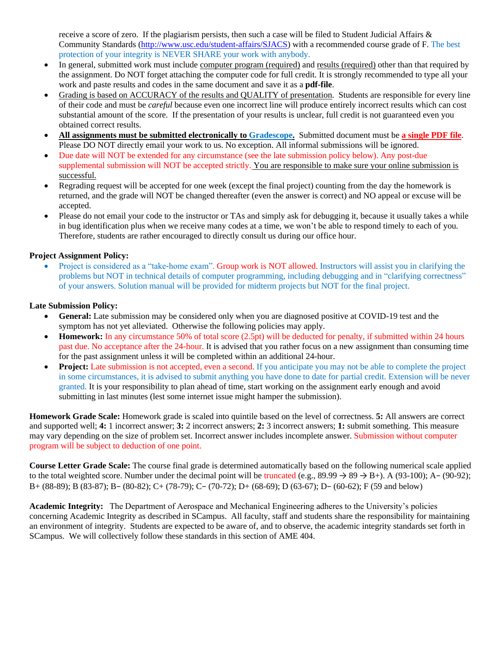receive a score of zero. If the plagiarism persists, then such a case will be filed to Student Judicial Affairs & Community Standards [\(http://www.usc.edu/student-affairs/SJACS\)](http://www.usc.edu/student-affairs/SJACS) with a recommended course grade of F. The best protection of your integrity is NEVER SHARE your work with anybody.

- In general, submitted work must include computer program (required) and results (required) other than that required by the assignment. Do NOT forget attaching the computer code for full credit. It is strongly recommended to type all your work and paste results and codes in the same document and save it as a **pdf-file**.
- Grading is based on ACCURACY of the results and QUALITY of presentation. Students are responsible for every line of their code and must be *careful* because even one incorrect line will produce entirely incorrect results which can cost substantial amount of the score. If the presentation of your results is unclear, full credit is not guaranteed even you obtained correct results.
- **All assignments must be submitted electronically to Gradescope.** Submitted document must be **a single PDF file**. Please DO NOT directly email your work to us. No exception. All informal submissions will be ignored.
- Due date will NOT be extended for any circumstance (see the late submission policy below). Any post-due supplemental submission will NOT be accepted strictly. You are responsible to make sure your online submission is successful.
- Regrading request will be accepted for one week (except the final project) counting from the day the homework is returned, and the grade will NOT be changed thereafter (even the answer is correct) and NO appeal or excuse will be accepted.
- Please do not email your code to the instructor or TAs and simply ask for debugging it, because it usually takes a while in bug identification plus when we receive many codes at a time, we won't be able to respond timely to each of you. Therefore, students are rather encouraged to directly consult us during our office hour.

# **Project Assignment Policy:**

• Project is considered as a "take-home exam". Group work is NOT allowed. Instructors will assist you in clarifying the problems but NOT in technical details of computer programming, including debugging and in "clarifying correctness" of your answers. Solution manual will be provided for midterm projects but NOT for the final project.

## **Late Submission Policy:**

- **General:** Late submission may be considered only when you are diagnosed positive at COVID-19 test and the symptom has not yet alleviated. Otherwise the following policies may apply.
- **Homework:** In any circumstance 50% of total score (2.5pt) will be deducted for penalty, if submitted within 24 hours past due. No acceptance after the 24-hour. It is advised that you rather focus on a new assignment than consuming time for the past assignment unless it will be completed within an additional 24-hour.
- **Project:** Late submission is not accepted, even a second. If you anticipate you may not be able to complete the project in some circumstances, it is advised to submit anything you have done to date for partial credit. Extension will be never granted. It is your responsibility to plan ahead of time, start working on the assignment early enough and avoid submitting in last minutes (lest some internet issue might hamper the submission).

**Homework Grade Scale:** Homework grade is scaled into quintile based on the level of correctness. **5:** All answers are correct and supported well; **4:** 1 incorrect answer; **3:** 2 incorrect answers; **2:** 3 incorrect answers; **1:** submit something. This measure may vary depending on the size of problem set. Incorrect answer includes incomplete answer. Submission without computer program will be subject to deduction of one point.

**Course Letter Grade Scale:** The course final grade is determined automatically based on the following numerical scale applied to the total weighted score. Number under the decimal point will be truncated (e.g.,  $89.99 \rightarrow 89 \rightarrow B+$ ). A (93-100); A- (90-92); B+ (88-89); B (83-87); B− (80-82); C+ (78-79); C− (70-72); D+ (68-69); D (63-67); D− (60-62); F (59 and below)

**Academic Integrity:** The Department of Aerospace and Mechanical Engineering adheres to the University's policies concerning Academic Integrity as described in SCampus. All faculty, staff and students share the responsibility for maintaining an environment of integrity. Students are expected to be aware of, and to observe, the academic integrity standards set forth in SCampus. We will collectively follow these standards in this section of AME 404.